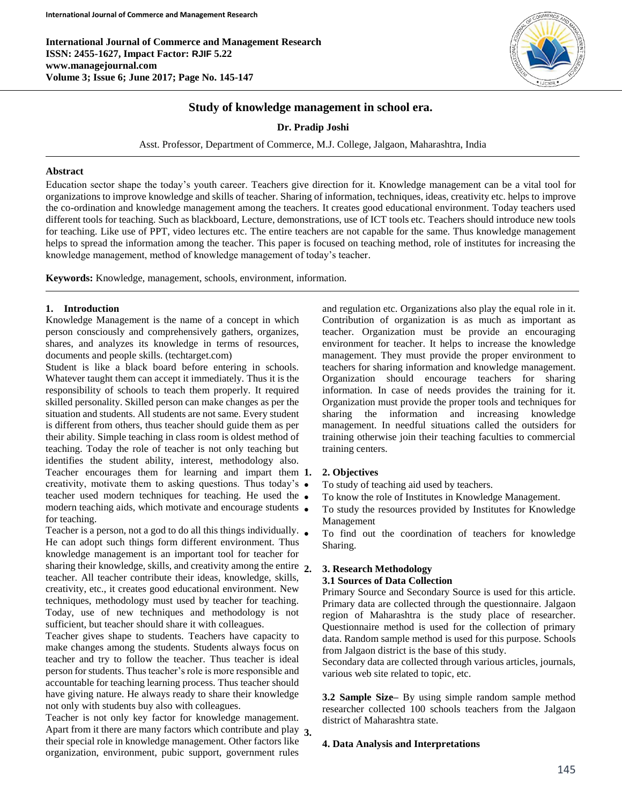**International Journal of Commerce and Management Research ISSN: 2455-1627, Impact Factor: RJIF 5.22 www.managejournal.com Volume 3; Issue 6; June 2017; Page No. 145-147**



# **Study of knowledge management in school era.**

**Dr. Pradip Joshi**

Asst. Professor, Department of Commerce, M.J. College, Jalgaon, Maharashtra, India

#### **Abstract**

Education sector shape the today's youth career. Teachers give direction for it. Knowledge management can be a vital tool for organizations to improve knowledge and skills of teacher. Sharing of information, techniques, ideas, creativity etc. helps to improve the co-ordination and knowledge management among the teachers. It creates good educational environment. Today teachers used different tools for teaching. Such as blackboard, Lecture, demonstrations, use of ICT tools etc. Teachers should introduce new tools for teaching. Like use of PPT, video lectures etc. The entire teachers are not capable for the same. Thus knowledge management helps to spread the information among the teacher. This paper is focused on teaching method, role of institutes for increasing the knowledge management, method of knowledge management of today's teacher.

**Keywords:** Knowledge, management, schools, environment, information.

# **1. Introduction**

Knowledge Management is the name of a concept in which person consciously and comprehensively gathers, organizes, shares, and analyzes its knowledge in terms of resources, documents and people skills. (techtarget.com)

Student is like a black board before entering in schools. Whatever taught them can accept it immediately. Thus it is the responsibility of schools to teach them properly. It required skilled personality. Skilled person can make changes as per the situation and students. All students are not same. Every student is different from others, thus teacher should guide them as per their ability. Simple teaching in class room is oldest method of teaching. Today the role of teacher is not only teaching but identifies the student ability, interest, methodology also. Teacher encourages them for learning and impart them 1. creativity, motivate them to asking questions. Thus today's teacher used modern techniques for teaching. He used the  $\bullet$ modern teaching aids, which motivate and encourage students • for teaching.

Teacher is a person, not a god to do all this things individually.  $\bullet$ He can adopt such things form different environment. Thus knowledge management is an important tool for teacher for sharing their knowledge, skills, and creativity among the entire 2. teacher. All teacher contribute their ideas, knowledge, skills, creativity, etc., it creates good educational environment. New techniques, methodology must used by teacher for teaching. Today, use of new techniques and methodology is not sufficient, but teacher should share it with colleagues.

Teacher gives shape to students. Teachers have capacity to make changes among the students. Students always focus on teacher and try to follow the teacher. Thus teacher is ideal person for students. Thus teacher's role is more responsible and accountable for teaching learning process. Thus teacher should have giving nature. He always ready to share their knowledge not only with students buy also with colleagues.

Teacher is not only key factor for knowledge management. Apart from it there are many factors which contribute and play **3.** their special role in knowledge management. Other factors like organization, environment, pubic support, government rules

and regulation etc. Organizations also play the equal role in it. Contribution of organization is as much as important as teacher. Organization must be provide an encouraging environment for teacher. It helps to increase the knowledge management. They must provide the proper environment to teachers for sharing information and knowledge management. Organization should encourage teachers for sharing information. In case of needs provides the training for it. Organization must provide the proper tools and techniques for sharing the information and increasing knowledge management. In needful situations called the outsiders for training otherwise join their teaching faculties to commercial training centers.

#### **1. 2. Objectives**

- To study of teaching aid used by teachers.
- To know the role of Institutes in Knowledge Management.
- To study the resources provided by Institutes for Knowledge Management
- To find out the coordination of teachers for knowledge Sharing.

## **2. 3. Research Methodology**

### **3.1 Sources of Data Collection**

Primary Source and Secondary Source is used for this article. Primary data are collected through the questionnaire. Jalgaon region of Maharashtra is the study place of researcher. Questionnaire method is used for the collection of primary data. Random sample method is used for this purpose. Schools from Jalgaon district is the base of this study.

Secondary data are collected through various articles, journals, various web site related to topic, etc.

**3.2 Sample Size–** By using simple random sample method researcher collected 100 schools teachers from the Jalgaon district of Maharashtra state.

### **4. Data Analysis and Interpretations**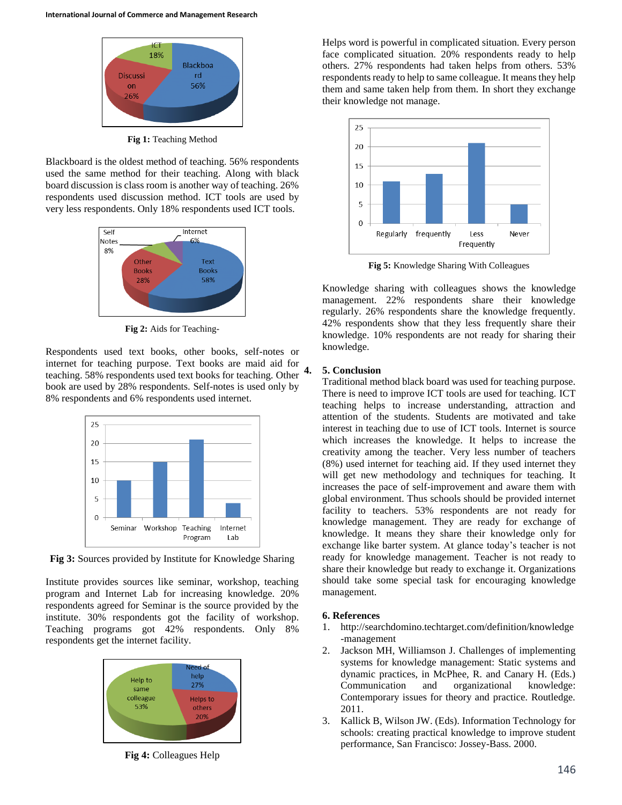

**Fig 1:** Teaching Method

Blackboard is the oldest method of teaching. 56% respondents used the same method for their teaching. Along with black board discussion is class room is another way of teaching. 26% respondents used discussion method. ICT tools are used by very less respondents. Only 18% respondents used ICT tools.



**Fig 2:** Aids for Teaching-

Respondents used text books, other books, self-notes or internet for teaching purpose. Text books are maid aid for teaching. 58% respondents used text books for teaching. Other book are used by 28% respondents. Self-notes is used only by 8% respondents and 6% respondents used internet.



**Fig 3:** Sources provided by Institute for Knowledge Sharing

Institute provides sources like seminar, workshop, teaching program and Internet Lab for increasing knowledge. 20% respondents agreed for Seminar is the source provided by the institute. 30% respondents got the facility of workshop. Teaching programs got 42% respondents. Only 8% respondents get the internet facility.



**Fig 4:** Colleagues Help

Helps word is powerful in complicated situation. Every person face complicated situation. 20% respondents ready to help others. 27% respondents had taken helps from others. 53% respondents ready to help to same colleague. It means they help them and same taken help from them. In short they exchange their knowledge not manage.



**Fig 5:** Knowledge Sharing With Colleagues

Knowledge sharing with colleagues shows the knowledge management. 22% respondents share their knowledge regularly. 26% respondents share the knowledge frequently. 42% respondents show that they less frequently share their knowledge. 10% respondents are not ready for sharing their knowledge.

## **4. 5. Conclusion**

Traditional method black board was used for teaching purpose. There is need to improve ICT tools are used for teaching. ICT teaching helps to increase understanding, attraction and attention of the students. Students are motivated and take interest in teaching due to use of ICT tools. Internet is source which increases the knowledge. It helps to increase the creativity among the teacher. Very less number of teachers (8%) used internet for teaching aid. If they used internet they will get new methodology and techniques for teaching. It increases the pace of self-improvement and aware them with global environment. Thus schools should be provided internet facility to teachers. 53% respondents are not ready for knowledge management. They are ready for exchange of knowledge. It means they share their knowledge only for exchange like barter system. At glance today's teacher is not ready for knowledge management. Teacher is not ready to share their knowledge but ready to exchange it. Organizations should take some special task for encouraging knowledge management.

### **6. References**

- 1. http://searchdomino.techtarget.com/definition/knowledge -management
- 2. Jackson MH, Williamson J. Challenges of implementing systems for knowledge management: Static systems and dynamic practices, in McPhee, R. and Canary H. (Eds.) Communication and organizational knowledge: Contemporary issues for theory and practice. Routledge. 2011.
- 3. Kallick B, Wilson JW. (Eds). Information Technology for schools: creating practical knowledge to improve student performance, San Francisco: Jossey-Bass. 2000.